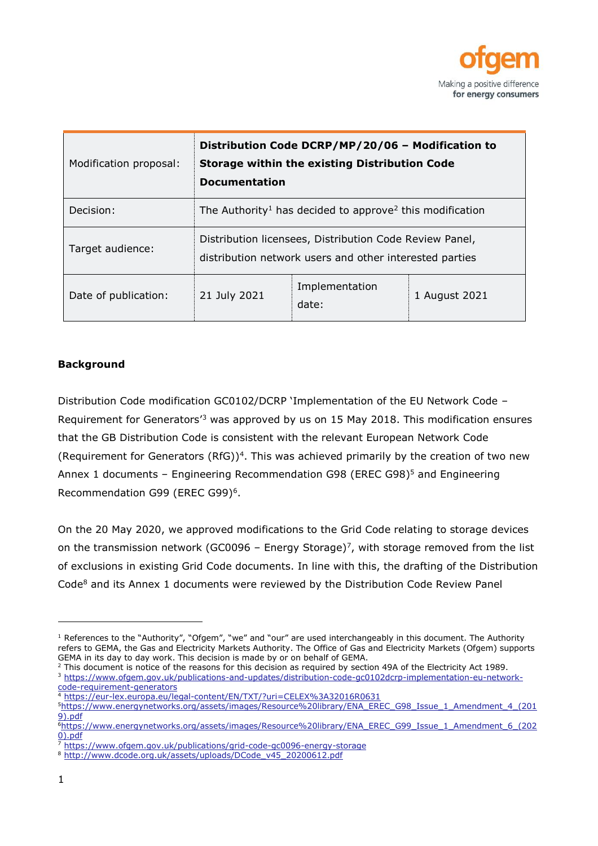

| Modification proposal: | Distribution Code DCRP/MP/20/06 - Modification to<br><b>Storage within the existing Distribution Code</b><br><b>Documentation</b> |                         |               |
|------------------------|-----------------------------------------------------------------------------------------------------------------------------------|-------------------------|---------------|
| Decision:              | The Authority <sup>1</sup> has decided to approve <sup>2</sup> this modification                                                  |                         |               |
| Target audience:       | Distribution licensees, Distribution Code Review Panel,<br>distribution network users and other interested parties                |                         |               |
| Date of publication:   | 21 July 2021                                                                                                                      | Implementation<br>date: | 1 August 2021 |

## **Background**

Distribution Code modification GC0102/DCRP 'Implementation of the EU Network Code – Requirement for Generators'<sup>3</sup> was approved by us on 15 May 2018. This modification ensures that the GB Distribution Code is consistent with the relevant European Network Code (Requirement for Generators  $(RfG))^4$ . This was achieved primarily by the creation of two new Annex 1 documents – Engineering Recommendation G98 (EREC G98) <sup>5</sup> and Engineering Recommendation G99 (EREC G99) 6 .

On the 20 May 2020, we approved modifications to the Grid Code relating to storage devices on the transmission network (GC0096 – Energy Storage)<sup>7</sup>, with storage removed from the list of exclusions in existing Grid Code documents. In line with this, the drafting of the Distribution Code<sup>8</sup> and its Annex 1 documents were reviewed by the Distribution Code Review Panel

-

 $1$  References to the "Authority", "Ofgem", "we" and "our" are used interchangeably in this document. The Authority refers to GEMA, the Gas and Electricity Markets Authority. The Office of Gas and Electricity Markets (Ofgem) supports GEMA in its day to day work. This decision is made by or on behalf of GEMA.

 $2$  This document is notice of the reasons for this decision as required by section 49A of the Electricity Act 1989. <sup>3</sup> [https://www.ofgem.gov.uk/publications-and-updates/distribution-code-gc0102dcrp-implementation-eu-network](https://www.ofgem.gov.uk/publications-and-updates/distribution-code-gc0102dcrp-implementation-eu-network-code-requirement-generators)[code-requirement-generators](https://www.ofgem.gov.uk/publications-and-updates/distribution-code-gc0102dcrp-implementation-eu-network-code-requirement-generators) 

<sup>4</sup> <https://eur-lex.europa.eu/legal-content/EN/TXT/?uri=CELEX%3A32016R0631>

<sup>5</sup>[https://www.energynetworks.org/assets/images/Resource%20library/ENA\\_EREC\\_G98\\_Issue\\_1\\_Amendment\\_4\\_\(201](https://www.energynetworks.org/assets/images/Resource%20library/ENA_EREC_G98_Issue_1_Amendment_4_(2019).pdf) [9\).pdf](https://www.energynetworks.org/assets/images/Resource%20library/ENA_EREC_G98_Issue_1_Amendment_4_(2019).pdf)

<sup>&</sup>lt;sup>6</sup>[https://www.energynetworks.org/assets/images/Resource%20library/ENA\\_EREC\\_G99\\_Issue\\_1\\_Amendment\\_6\\_\(202](https://www.energynetworks.org/assets/images/Resource%20library/ENA_EREC_G99_Issue_1_Amendment_6_(2020).pdf) [0\).pdf](https://www.energynetworks.org/assets/images/Resource%20library/ENA_EREC_G99_Issue_1_Amendment_6_(2020).pdf)

<sup>7</sup> <https://www.ofgem.gov.uk/publications/grid-code-gc0096-energy-storage>

<sup>8</sup> [http://www.dcode.org.uk/assets/uploads/DCode\\_v45\\_20200612.pdf](http://www.dcode.org.uk/assets/uploads/DCode_v45_20200612.pdf)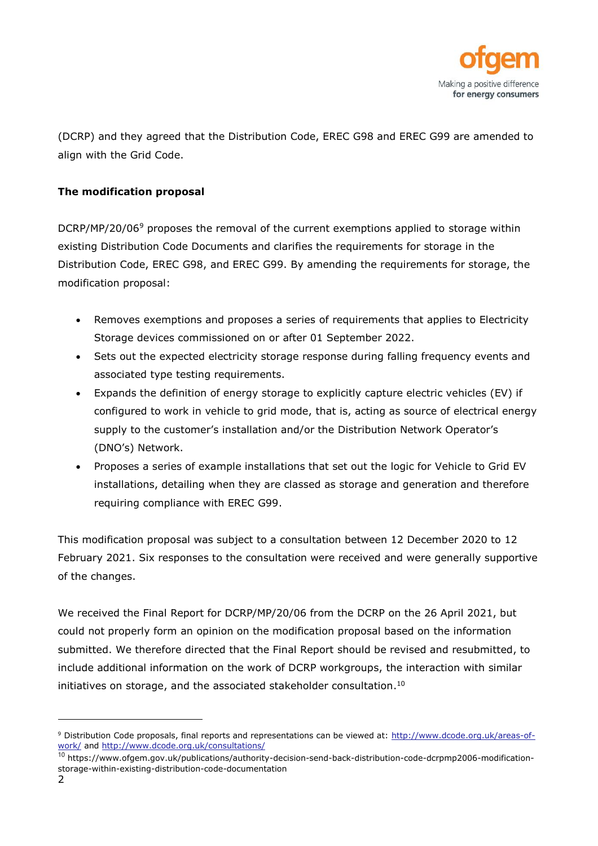

(DCRP) and they agreed that the Distribution Code, EREC G98 and EREC G99 are amended to align with the Grid Code.

## **The modification proposal**

DCRP/MP/20/06<sup>9</sup> proposes the removal of the current exemptions applied to storage within existing Distribution Code Documents and clarifies the requirements for storage in the Distribution Code, EREC G98, and EREC G99. By amending the requirements for storage, the modification proposal:

- Removes exemptions and proposes a series of requirements that applies to Electricity Storage devices commissioned on or after 01 September 2022.
- Sets out the expected electricity storage response during falling frequency events and associated type testing requirements.
- Expands the definition of energy storage to explicitly capture electric vehicles (EV) if configured to work in vehicle to grid mode, that is, acting as source of electrical energy supply to the customer's installation and/or the Distribution Network Operator's (DNO's) Network.
- Proposes a series of example installations that set out the logic for Vehicle to Grid EV installations, detailing when they are classed as storage and generation and therefore requiring compliance with EREC G99.

This modification proposal was subject to a consultation between 12 December 2020 to 12 February 2021. Six responses to the consultation were received and were generally supportive of the changes.

We received the Final Report for DCRP/MP/20/06 from the DCRP on the 26 April 2021, but could not properly form an opinion on the modification proposal based on the information submitted. We therefore directed that the Final Report should be revised and resubmitted, to include additional information on the work of DCRP workgroups, the interaction with similar initiatives on storage, and the associated stakeholder consultation. $^{10}$ 

-

<sup>9</sup> Distribution Code proposals, final reports and representations can be viewed at: [http://www.dcode.org.uk/areas-of](http://www.dcode.org.uk/areas-of-work/)[work/](http://www.dcode.org.uk/areas-of-work/) and<http://www.dcode.org.uk/consultations/>

<sup>10</sup> https://www.ofgem.gov.uk/publications/authority-decision-send-back-distribution-code-dcrpmp2006-modificationstorage-within-existing-distribution-code-documentation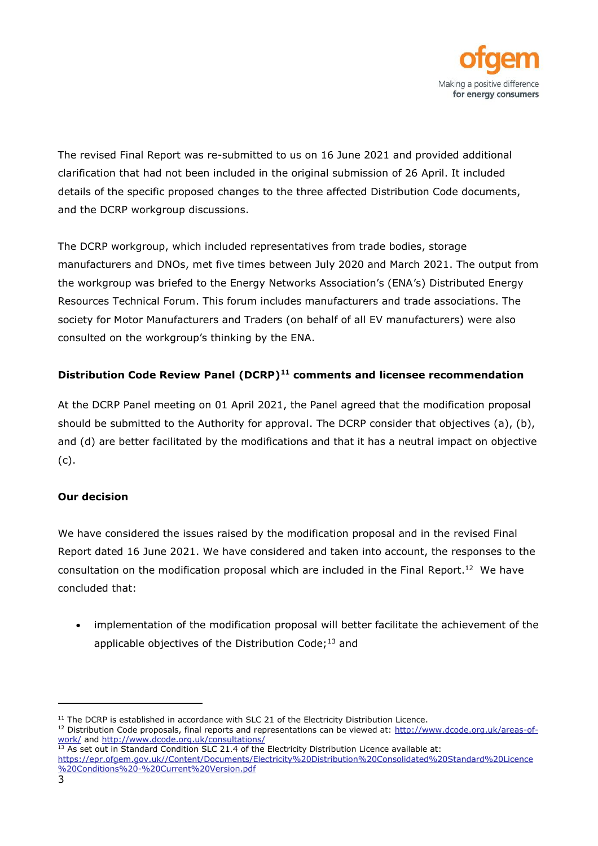

The revised Final Report was re-submitted to us on 16 June 2021 and provided additional clarification that had not been included in the original submission of 26 April. It included details of the specific proposed changes to the three affected Distribution Code documents, and the DCRP workgroup discussions.

The DCRP workgroup, which included representatives from trade bodies, storage manufacturers and DNOs, met five times between July 2020 and March 2021. The output from the workgroup was briefed to the Energy Networks Association's (ENA's) Distributed Energy Resources Technical Forum. This forum includes manufacturers and trade associations. The society for Motor Manufacturers and Traders (on behalf of all EV manufacturers) were also consulted on the workgroup's thinking by the ENA.

## **Distribution Code Review Panel (DCRP)<sup>11</sup> comments and licensee recommendation**

At the DCRP Panel meeting on 01 April 2021, the Panel agreed that the modification proposal should be submitted to the Authority for approval. The DCRP consider that objectives (a), (b), and (d) are better facilitated by the modifications and that it has a neutral impact on objective (c).

## **Our decision**

We have considered the issues raised by the modification proposal and in the revised Final Report dated 16 June 2021. We have considered and taken into account, the responses to the consultation on the modification proposal which are included in the Final Report.<sup>12</sup> We have concluded that:

 implementation of the modification proposal will better facilitate the achievement of the applicable objectives of the Distribution Code; $^{13}$  and

 $11$  The DCRP is established in accordance with SLC 21 of the Electricity Distribution Licence.

<sup>12</sup> Distribution Code proposals, final reports and representations can be viewed at: [http://www.dcode.org.uk/areas-of](http://www.dcode.org.uk/areas-of-work/)[work/](http://www.dcode.org.uk/areas-of-work/) and<http://www.dcode.org.uk/consultations/>

-

<sup>13</sup> As set out in Standard Condition SLC 21.4 of the Electricity Distribution Licence available at: [https://epr.ofgem.gov.uk//Content/Documents/Electricity%20Distribution%20Consolidated%20Standard%20Licence](https://epr.ofgem.gov.uk/Content/Documents/Electricity%20Distribution%20Consolidated%20Standard%20Licence%20Conditions%20-%20Current%20Version.pdf) [%20Conditions%20-%20Current%20Version.pdf](https://epr.ofgem.gov.uk/Content/Documents/Electricity%20Distribution%20Consolidated%20Standard%20Licence%20Conditions%20-%20Current%20Version.pdf)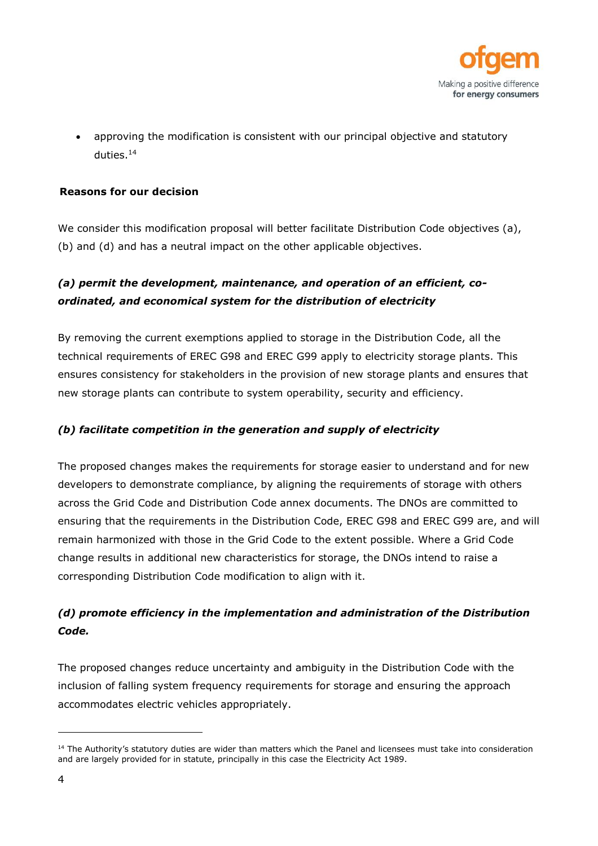

 approving the modification is consistent with our principal objective and statutory duties.<sup>14</sup>

#### **Reasons for our decision**

We consider this modification proposal will better facilitate Distribution Code objectives (a), (b) and (d) and has a neutral impact on the other applicable objectives.

## *(a) permit the development, maintenance, and operation of an efficient, coordinated, and economical system for the distribution of electricity*

By removing the current exemptions applied to storage in the Distribution Code, all the technical requirements of EREC G98 and EREC G99 apply to electricity storage plants. This ensures consistency for stakeholders in the provision of new storage plants and ensures that new storage plants can contribute to system operability, security and efficiency.

#### *(b) facilitate competition in the generation and supply of electricity*

The proposed changes makes the requirements for storage easier to understand and for new developers to demonstrate compliance, by aligning the requirements of storage with others across the Grid Code and Distribution Code annex documents. The DNOs are committed to ensuring that the requirements in the Distribution Code, EREC G98 and EREC G99 are, and will remain harmonized with those in the Grid Code to the extent possible. Where a Grid Code change results in additional new characteristics for storage, the DNOs intend to raise a corresponding Distribution Code modification to align with it.

# *(d) promote efficiency in the implementation and administration of the Distribution Code.*

The proposed changes reduce uncertainty and ambiguity in the Distribution Code with the inclusion of falling system frequency requirements for storage and ensuring the approach accommodates electric vehicles appropriately.

<sup>&</sup>lt;sup>14</sup> The Authority's statutory duties are wider than matters which the Panel and licensees must take into consideration and are largely provided for in statute, principally in this case the Electricity Act 1989.